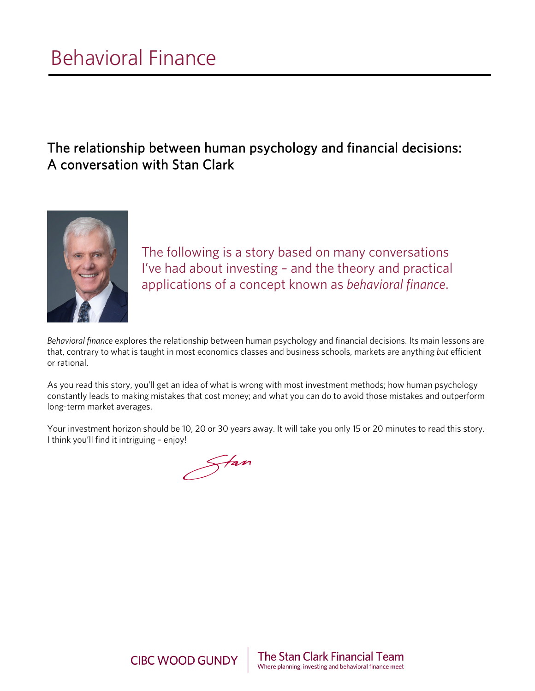# The relationship between human psychology and financial decisions: A conversation with Stan Clark



The following is a story based on many conversations I've had about investing – and the theory and practical applications of a concept known as *behavioral finance*.

*Behavioral finance* explores the relationship between human psychology and financial decisions. Its main lessons are that, contrary to what is taught in most economics classes and business schools, markets are anything *but* efficient or rational.

As you read this story, you'll get an idea of what is wrong with most investment methods; how human psychology constantly leads to making mistakes that cost money; and what you can do to avoid those mistakes and outperform long-term market averages.

Your investment horizon should be 10, 20 or 30 years away. It will take you only 15 or 20 minutes to read this story. I think you'll find it intriguing – enjoy!

Fan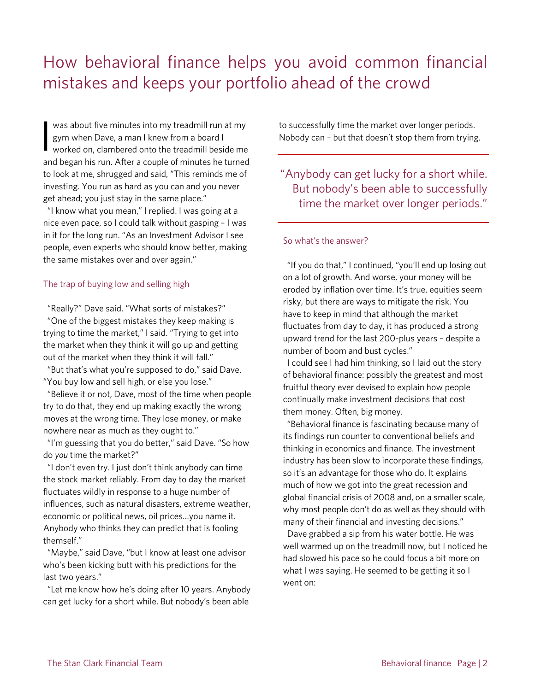# How behavioral finance helps you avoid common financial mistakes and keeps your portfolio ahead of the crowd

was about five minutes into my treadmill run at my gym when Dave, a man I knew from a board I

worked on, clambered onto the treadmill beside me and began his run. After a couple of minutes he turned to look at me, shrugged and said, "This reminds me of investing. You run as hard as you can and you never get ahead; you just stay in the same place." I

 "I know what you mean," I replied. I was going at a nice even pace, so I could talk without gasping – I was in it for the long run. "As an Investment Advisor I see people, even experts who should know better, making the same mistakes over and over again."

## The trap of buying low and selling high

"Really?" Dave said. "What sorts of mistakes?"

"One of the biggest mistakes they keep making is trying to time the market," I said. "Trying to get into the market when they think it will go up and getting out of the market when they think it will fall."

"But that's what you're supposed to do," said Dave. "You buy low and sell high, or else you lose."

"Believe it or not, Dave, most of the time when people try to do that, they end up making exactly the wrong moves at the wrong time. They lose money, or make nowhere near as much as they ought to."

"I'm guessing that you do better," said Dave. "So how do *you* time the market?"

"I don't even try. I just don't think anybody can time the stock market reliably. From day to day the market fluctuates wildly in response to a huge number of influences, such as natural disasters, extreme weather, economic or political news, oil prices…you name it. Anybody who thinks they can predict that is fooling themself."

"Maybe," said Dave, "but I know at least one advisor who's been kicking butt with his predictions for the last two years."

"Let me know how he's doing after 10 years. Anybody can get lucky for a short while. But nobody's been able

to successfully time the market over longer periods. Nobody can – but that doesn't stop them from trying.

"Anybody can get lucky for a short while. But nobody's been able to successfully time the market over longer periods."

## So what's the answer?

"If you do that," I continued, "you'll end up losing out on a lot of growth. And worse, your money will be eroded by inflation over time. It's true, equities seem risky, but there are ways to mitigate the risk. You have to keep in mind that although the market fluctuates from day to day, it has produced a strong upward trend for the last 200-plus years – despite a number of boom and bust cycles."

I could see I had him thinking, so I laid out the story of behavioral finance: possibly the greatest and most fruitful theory ever devised to explain how people continually make investment decisions that cost them money. Often, big money.

 "Behavioral finance is fascinating because many of its findings run counter to conventional beliefs and thinking in economics and finance. The investment industry has been slow to incorporate these findings, so it's an advantage for those who do. It explains much of how we got into the great recession and global financial crisis of 2008 and, on a smaller scale, why most people don't do as well as they should with many of their financial and investing decisions."

 Dave grabbed a sip from his water bottle. He was well warmed up on the treadmill now, but I noticed he had slowed his pace so he could focus a bit more on what I was saying. He seemed to be getting it so I went on: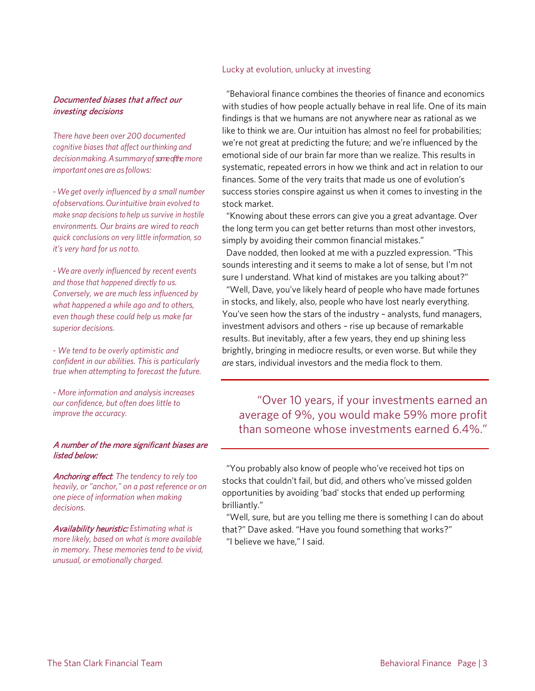## Lucky at evolution, unlucky at investing

## Documented biases that affect our investing decisions

*There have been over 200 documented cognitive biases that affect ourthinking and decisionmaking.Asummaryofsome of the more important ones are asfollows:*

*-We get overly influenced by a small number ofobservations.Ourintuitive brain evolved to make snap decisions to help us survive in hostile environments. Our brains are wired to reach quick conclusions on very little information, so it's very hard for us notto.*

*-We are overly influenced by recent events and those that happened directly to us. Conversely, we are much less influenced by what happened a while ago and to others, even though these could help us make far superior decisions.*

*- We tend to be overly optimistic and confident in our abilities. This is particularly true when attempting to forecast the future.*

*- More information and analysis increases our confidence, but often does little to improve the accuracy.*

## A number of the more significant biases are listed below:

Anchoring effect*: The tendency to rely too heavily, or "anchor," on a past reference or on one piece of information when making decisions.*

Availability heuristic: *Estimating what is more likely, based on what is more available in memory. These memories tend to be vivid, unusual, or emotionally charged.*

 "Behavioral finance combines the theories of finance and economics with studies of how people actually behave in real life. One of its main findings is that we humans are not anywhere near as rational as we like to think we are. Our intuition has almost no feel for probabilities; we're not great at predicting the future; and we're influenced by the emotional side of our brain far more than we realize. This results in systematic, repeated errors in how we think and act in relation to our finances. Some of the very traits that made us one of evolution's success stories conspire against us when it comes to investing in the stock market.

"Knowing about these errors can give you a great advantage. Over the long term you can get better returns than most other investors, simply by avoiding their common financial mistakes."

Dave nodded, then looked at me with a puzzled expression. "This sounds interesting and it seems to make a lot of sense, but I'm not sure I understand. What kind of mistakes are you talking about?"

"Well, Dave, you've likely heard of people who have made fortunes in stocks, and likely, also, people who have lost nearly everything. You've seen how the stars of the industry – analysts, fund managers, investment advisors and others – rise up because of remarkable results. But inevitably, after a few years, they end up shining less brightly, bringing in mediocre results, or even worse. But while they *are* stars, individual investors and the media flock to them.

"Over 10 years, if your investments earned an average of 9%, you would make 59% more profit than someone whose investments earned 6.4%."

"You probably also know of people who've received hot tips on stocks that couldn't fail, but did, and others who've missed golden opportunities by avoiding 'bad' stocks that ended up performing brilliantly."

"Well, sure, but are you telling me there is something I can do about that?" Dave asked. "Have you found something that works?" "I believe we have," I said.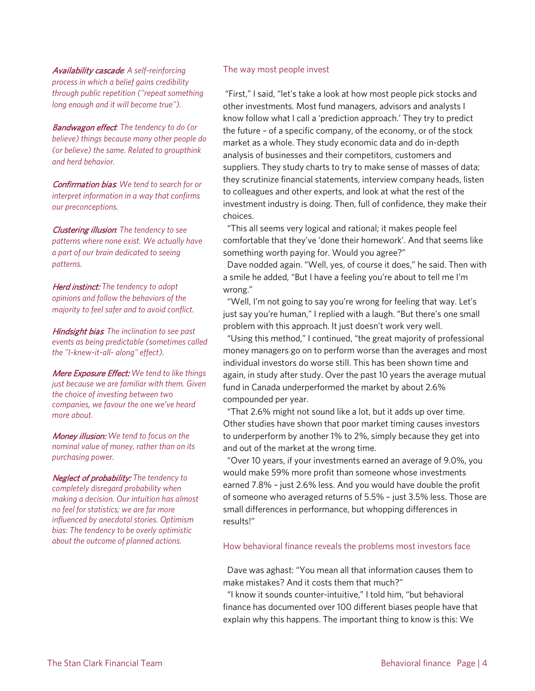Availability cascade*: A self-reinforcing process in which a belief gains credibility through public repetition ("repeat something long enough and it will become true").*

Bandwagon effect*: The tendency to do (or believe) things because many other people do (or believe) the same. Related to groupthink and herd behavior.*

Confirmation bias*: We tend to search for or interpret information in a way that confirms our preconceptions.*

Clustering illusion*: The tendency to see patterns where none exist. We actually have a part of our brain dedicated to seeing patterns.*

Herd instinct: *The tendency to adopt opinions and follow the behaviors of the majority to feel safer and to avoid conflict.*

Hindsight bias*: The inclination to see past events as being predictable (sometimes called the "I-knew-it-all- along" effect).*

Mere Exposure Effect: *We tend to like things just because we are familiar with them. Given the choice of investing between two companies, we favour the one we've heard more about.*

Money illusion: *We tend to focus on the nominal value of money, rather than on its purchasing power.*

Neglect of probability: *The tendency to completely disregard probability when making a decision. Our intuition has almost no feel for statistics; we are far more influenced by anecdotal stories. Optimism bias: The tendency to be overly optimistic about the outcome of planned actions.*

## The way most people invest

"First," I said, "let's take a look at how most people pick stocks and other investments. Most fund managers, advisors and analysts I know follow what I call a 'prediction approach.' They try to predict the future – of a specific company, of the economy, or of the stock market as a whole. They study economic data and do in-depth analysis of businesses and their competitors, customers and suppliers. They study charts to try to make sense of masses of data; they scrutinize financial statements, interview company heads, listen to colleagues and other experts, and look at what the rest of the investment industry is doing. Then, full of confidence, they make their choices.

"This all seems very logical and rational; it makes people feel comfortable that they've 'done their homework'. And that seems like something worth paying for. Would you agree?"

 Dave nodded again. "Well, yes, of course it does," he said. Then with a smile he added, "But I have a feeling you're about to tell me I'm wrong."

"Well, I'm not going to say you're wrong for feeling that way. Let's just say you're human," I replied with a laugh. "But there's one small problem with this approach. It just doesn't work very well.

"Using this method," I continued, "the great majority of professional money managers go on to perform worse than the averages and most individual investors do worse still. This has been shown time and again, in study after study. Over the past 10 years the average mutual fund in Canada underperformed the market by about 2.6% compounded per year.

"That 2.6% might not sound like a lot, but it adds up over time. Other studies have shown that poor market timing causes investors to underperform by another 1% to 2%, simply because they get into and out of the market at the wrong time.

"Over 10 years, if your investments earned an average of 9.0%, you would make 59% more profit than someone whose investments earned 7.8% – just 2.6% less. And you would have double the profit of someone who averaged returns of 5.5% – just 3.5% less. Those are small differences in performance, but whopping differences in results!"

## How behavioral finance reveals the problems most investors face

Dave was aghast: "You mean all that information causes them to make mistakes? And it costs them that much?"

"I know it sounds counter-intuitive," I told him, "but behavioral finance has documented over 100 different biases people have that explain why this happens. The important thing to know is this: We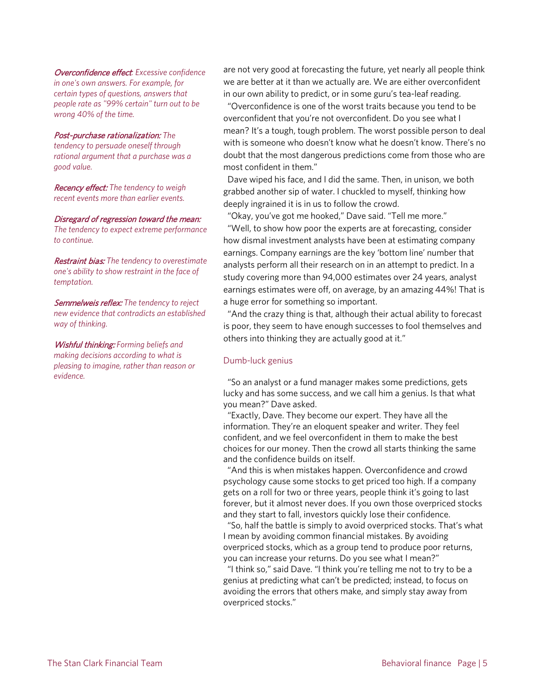Overconfidence effect*: Excessive confidence in one's own answers. For example, for certain types of questions, answers that people rate as "99% certain" turn out to be wrong 40% of the time.*

#### Post-purchase rationalization: *The*

*tendency to persuade oneself through rational argument that a purchase was a good value.*

Recency effect: *The tendency to weigh recent events more than earlier events.*

Disregard of regression toward the mean:

*The tendency to expect extreme performance to continue.*

Restraint bias: *The tendency to overestimate one's ability to show restraint in the face of temptation.*

Semmelweis reflex: *The tendency to reject new evidence that contradicts an established way of thinking.*

Wishful thinking: *Forming beliefs and making decisions according to what is pleasing to imagine, rather than reason or evidence.*

are not very good at forecasting the future, yet nearly all people think we are better at it than we actually are. We are either overconfident in our own ability to predict, or in some guru's tea-leaf reading.

 "Overconfidence is one of the worst traits because you tend to be overconfident that you're not overconfident. Do you see what I mean? It's a tough, tough problem. The worst possible person to deal with is someone who doesn't know what he doesn't know. There's no doubt that the most dangerous predictions come from those who are most confident in them."

Dave wiped his face, and I did the same. Then, in unison, we both grabbed another sip of water. I chuckled to myself, thinking how deeply ingrained it is in us to follow the crowd.

"Okay, you've got me hooked," Dave said. "Tell me more."

"Well, to show how poor the experts are at forecasting, consider how dismal investment analysts have been at estimating company earnings. Company earnings are the key 'bottom line' number that analysts perform all their research on in an attempt to predict. In a study covering more than 94,000 estimates over 24 years, analyst earnings estimates were off, on average, by an amazing 44%! That is a huge error for something so important.

"And the crazy thing is that, although their actual ability to forecast is poor, they seem to have enough successes to fool themselves and others into thinking they are actually good at it."

## Dumb-luck genius

"So an analyst or a fund manager makes some predictions, gets lucky and has some success, and we call him a genius. Is that what you mean?" Dave asked.

"Exactly, Dave. They become our expert. They have all the information. They're an eloquent speaker and writer. They feel confident, and we feel overconfident in them to make the best choices for our money. Then the crowd all starts thinking the same and the confidence builds on itself.

"And this is when mistakes happen. Overconfidence and crowd psychology cause some stocks to get priced too high. If a company gets on a roll for two or three years, people think it's going to last forever, but it almost never does. If you own those overpriced stocks and they start to fall, investors quickly lose their confidence.

"So, half the battle is simply to avoid overpriced stocks. That's what I mean by avoiding common financial mistakes. By avoiding overpriced stocks, which as a group tend to produce poor returns, you can increase your returns. Do you see what I mean?"

"I think so," said Dave. "I think you're telling me not to try to be a genius at predicting what can't be predicted; instead, to focus on avoiding the errors that others make, and simply stay away from overpriced stocks."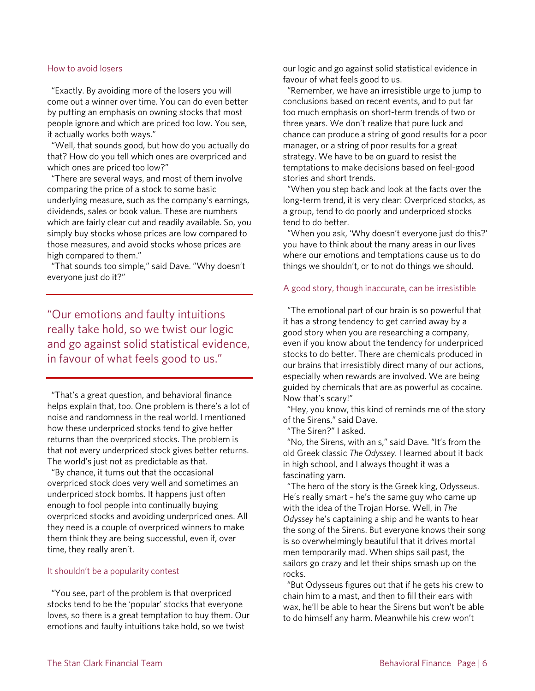#### How to avoid losers

"Exactly. By avoiding more of the losers you will come out a winner over time. You can do even better by putting an emphasis on owning stocks that most people ignore and which are priced too low. You see, it actually works both ways."

"Well, that sounds good, but how do you actually do that? How do you tell which ones are overpriced and which ones are priced too low?"

"There are several ways, and most of them involve comparing the price of a stock to some basic underlying measure, such as the company's earnings, dividends, sales or book value. These are numbers which are fairly clear cut and readily available. So, you simply buy stocks whose prices are low compared to those measures, and avoid stocks whose prices are high compared to them."

"That sounds too simple," said Dave. "Why doesn't everyone just do it?"

"Our emotions and faulty intuitions really take hold, so we twist our logic and go against solid statistical evidence, in favour of what feels good to us."

 "That's a great question, and behavioral finance helps explain that, too. One problem is there's a lot of noise and randomness in the real world. I mentioned how these underpriced stocks tend to give better returns than the overpriced stocks. The problem is that not every underpriced stock gives better returns. The world's just not as predictable as that.

 "By chance, it turns out that the occasional overpriced stock does very well and sometimes an underpriced stock bombs. It happens just often enough to fool people into continually buying overpriced stocks and avoiding underpriced ones. All they need is a couple of overpriced winners to make them think they are being successful, even if, over time, they really aren't.

## It shouldn't be a popularity contest

 "You see, part of the problem is that overpriced stocks tend to be the 'popular' stocks that everyone loves, so there is a great temptation to buy them. Our emotions and faulty intuitions take hold, so we twist

our logic and go against solid statistical evidence in favour of what feels good to us.

 "Remember, we have an irresistible urge to jump to conclusions based on recent events, and to put far too much emphasis on short-term trends of two or three years. We don't realize that pure luck and chance can produce a string of good results for a poor manager, or a string of poor results for a great strategy. We have to be on guard to resist the temptations to make decisions based on feel-good stories and short trends.

 "When you step back and look at the facts over the long-term trend, it is very clear: Overpriced stocks, as a group, tend to do poorly and underpriced stocks tend to do better.

 "When you ask, 'Why doesn't everyone just do this?' you have to think about the many areas in our lives where our emotions and temptations cause us to do things we shouldn't, or to not do things we should.

## A good story, though inaccurate, can be irresistible

 "The emotional part of our brain is so powerful that it has a strong tendency to get carried away by a good story when you are researching a company, even if you know about the tendency for underpriced stocks to do better. There are chemicals produced in our brains that irresistibly direct many of our actions, especially when rewards are involved. We are being guided by chemicals that are as powerful as cocaine. Now that's scary!"

 "Hey, you know, this kind of reminds me of the story of the Sirens," said Dave.

"The Siren?" I asked.

 "No, the Sirens, with an s," said Dave. "It's from the old Greek classic *The Odyssey*. I learned about it back in high school, and I always thought it was a fascinating yarn.

 "The hero of the story is the Greek king, Odysseus. He's really smart – he's the same guy who came up with the idea of the Trojan Horse. Well, in *The Odyssey* he's captaining a ship and he wants to hear the song of the Sirens. But everyone knows their song is so overwhelmingly beautiful that it drives mortal men temporarily mad. When ships sail past, the sailors go crazy and let their ships smash up on the rocks.

 "But Odysseus figures out that if he gets his crew to chain him to a mast, and then to fill their ears with wax, he'll be able to hear the Sirens but won't be able to do himself any harm. Meanwhile his crew won't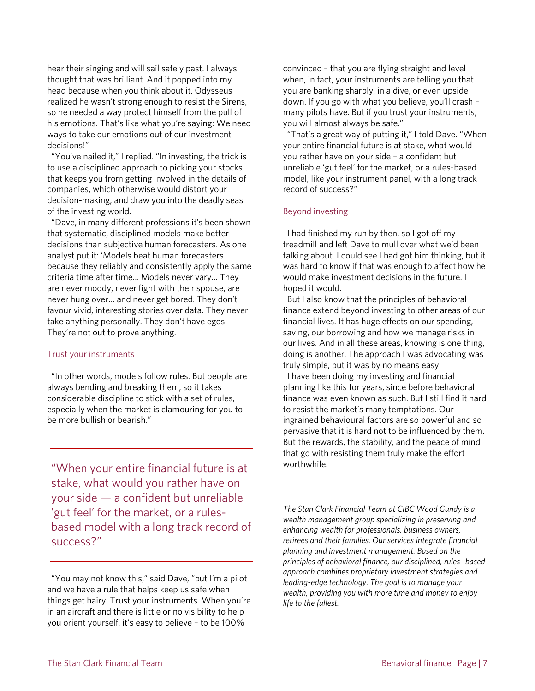hear their singing and will sail safely past. I always thought that was brilliant. And it popped into my head because when you think about it, Odysseus realized he wasn't strong enough to resist the Sirens, so he needed a way protect himself from the pull of his emotions. That's like what you're saying: We need ways to take our emotions out of our investment decisions!"

 "You've nailed it," I replied. "In investing, the trick is to use a disciplined approach to picking your stocks that keeps you from getting involved in the details of companies, which otherwise would distort your decision-making, and draw you into the deadly seas of the investing world.

 "Dave, in many different professions it's been shown that systematic, disciplined models make better decisions than subjective human forecasters. As one analyst put it: 'Models beat human forecasters because they reliably and consistently apply the same criteria time after time… Models never vary… They are never moody, never fight with their spouse, are never hung over… and never get bored. They don't favour vivid, interesting stories over data. They never take anything personally. They don't have egos. They're not out to prove anything.

## Trust your instruments

 "In other words, models follow rules. But people are always bending and breaking them, so it takes considerable discipline to stick with a set of rules, especially when the market is clamouring for you to be more bullish or bearish."

"When your entire financial future is at stake, what would you rather have on your side — a confident but unreliable 'gut feel' for the market, or a rulesbased model with a long track record of success?"

convinced – that you are flying straight and level when, in fact, your instruments are telling you that you are banking sharply, in a dive, or even upside down. If you go with what you believe, you'll crash – many pilots have. But if you trust your instruments, you will almost always be safe."

"That's a great way of putting it," I told Dave. "When your entire financial future is at stake, what would you rather have on your side – a confident but unreliable 'gut feel' for the market, or a rules-based model, like your instrument panel, with a long track record of success?"

## Beyond investing

 I had finished my run by then, so I got off my treadmill and left Dave to mull over what we'd been talking about. I could see I had got him thinking, but it was hard to know if that was enough to affect how he would make investment decisions in the future. I hoped it would.

 But I also know that the principles of behavioral finance extend beyond investing to other areas of our financial lives. It has huge effects on our spending, saving, our borrowing and how we manage risks in our lives. And in all these areas, knowing is one thing, doing is another. The approach I was advocating was truly simple, but it was by no means easy.

 I have been doing my investing and financial planning like this for years, since before behavioral finance was even known as such. But I still find it hard to resist the market's many temptations. Our ingrained behavioural factors are so powerful and so pervasive that it is hard not to be influenced by them. But the rewards, the stability, and the peace of mind that go with resisting them truly make the effort worthwhile.

*The Stan Clark Financial Team at CIBC Wood Gundy is a wealth management group specializing in preserving and enhancing wealth for professionals, business owners, retirees and their families. Our services integrate financial planning and investment management. Based on the principles of behavioral finance, our disciplined, rules- based approach combines proprietary investment strategies and leading-edge technology. The goal is to manage your wealth, providing you with more time and money to enjoy life to the fullest.*

 <sup>&</sup>quot;You may not know this," said Dave, "but I'm a pilot and we have a rule that helps keep us safe when things get hairy: Trust your instruments. When you're in an aircraft and there is little or no visibility to help you orient yourself, it's easy to believe – to be 100%